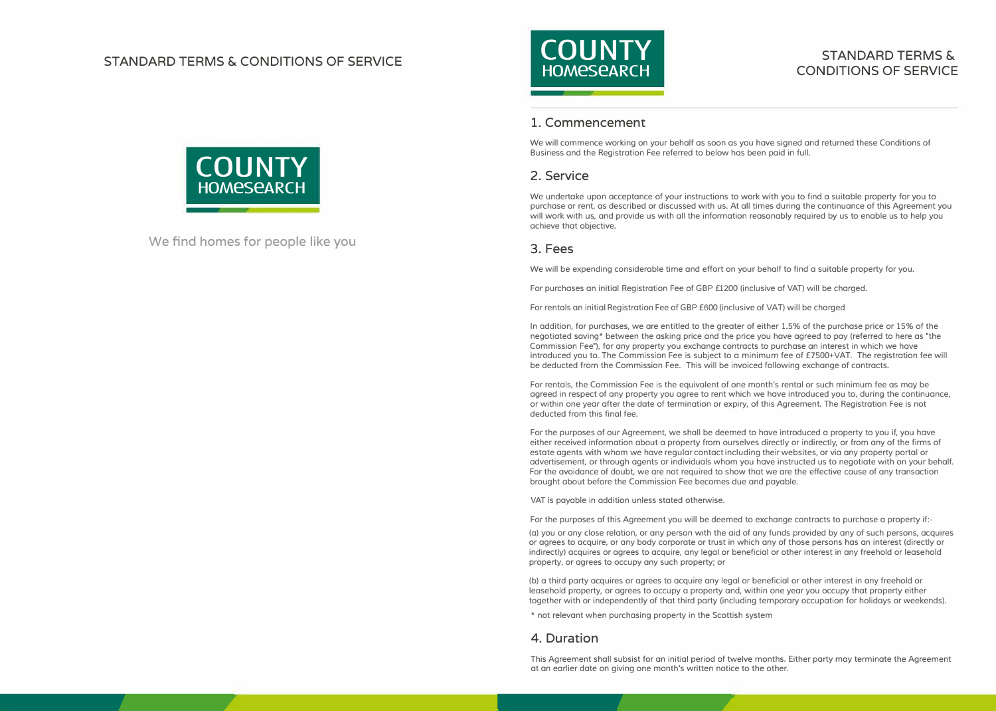### **STANDARD TERMS & CONDITIONS OF SERVICE**



#### **STANDARD TERMS & CONDITIONS OF SERVICE**

#### **1. Commencement**

We will commence working on your behalf as soon as you have signed and returned these Conditions of Business and the Registration Fee referred to below has been paid in full.

#### **2. Service**

We undertake upon acceptance of your instructions to work with you to find a suitable property for you to purchase or rent, as described or discussed with us. At all times during the continuance of this Agreement you will work with us, and provide us with all the information reasonably required by us to enable us to help you achieve that objective.

#### **3. Fees**

We will be expending considerable time and effort on your behalf to find a suitable property for you.

For purchases an initial Registration Fee of GBP £1200 (inclusive of VAT) will be charged.

For rentals an initial Registration Fee of GBP £600 (inclusive of VAT) will be charged

In addition, for purchases, we are entitled to the greater of either 1.5% of the purchase price or 15% of the negotiated saving\* between the asking price and the price you have agreed to pay (referred to here as "the Commission Fee"), for any property yau exchange contracts to purchase an interest in which we have introduced you to. The Commission Fee is subject to a minimum fee of £7500+VAT. The registration fee will be deducted from the Commission Fee. This will be invoiced following exchange of contracts.

For rentals, the Commission Fee is the equivalent of one month's rental or such minimum fee as may be agreed in respect of any property you agree to rent which we have introduced you to, during the continuance, or within one year after the date of termination or expiry, of this Agreement. The Registration Fee is not deducted from this final fee.

For the purposes of our Agreement, we shall be deemed to have introduced a property to you if, you have either received information about a property from ourselves directly or indirectly, or from any of the firms of estate agents with whom we have regular contact including their websites, or via any property portal or advertisement, or through agents or individuals whom you have instructed us to negotiate with on your behalf. For the avoidance of doubt, we are not required to show that we are the effective cause of any transaction brought about before the Commission Fee becomes due and payable.

VAT is payable in addition unless stated otherwise.

For the purposes of this Agreement you will be deemed to exchange contracts to purchase a property if:-

(a) you or any close relation, or any person with the aid of any funds provided by any of such persons, acquires or agrees to acquire, or any body corporate or trust in which any of those persons has an interest (directly or indirectly) acquires or agrees to acquire, any legal or beneficial or other interest in any freehold or leasehold property, or agrees to occupy any such property; or

(b) a third party acquires or agrees to acquire any legal or beneficial or other interest in any freehold or leasehold property, or agrees to occupy a property and, within one year you occupy that property either together with or independently of that third party (including temporary occupation for holidays or weekends).

\* not relevant when purchasing property in the Scottish system

#### **4. Duration**

This Agreement shall subsist for an initial period af twelve months. Either party may terminate the Agreement at an earlier date on giving one month's written notice to the other.



**We find homes for people like you**